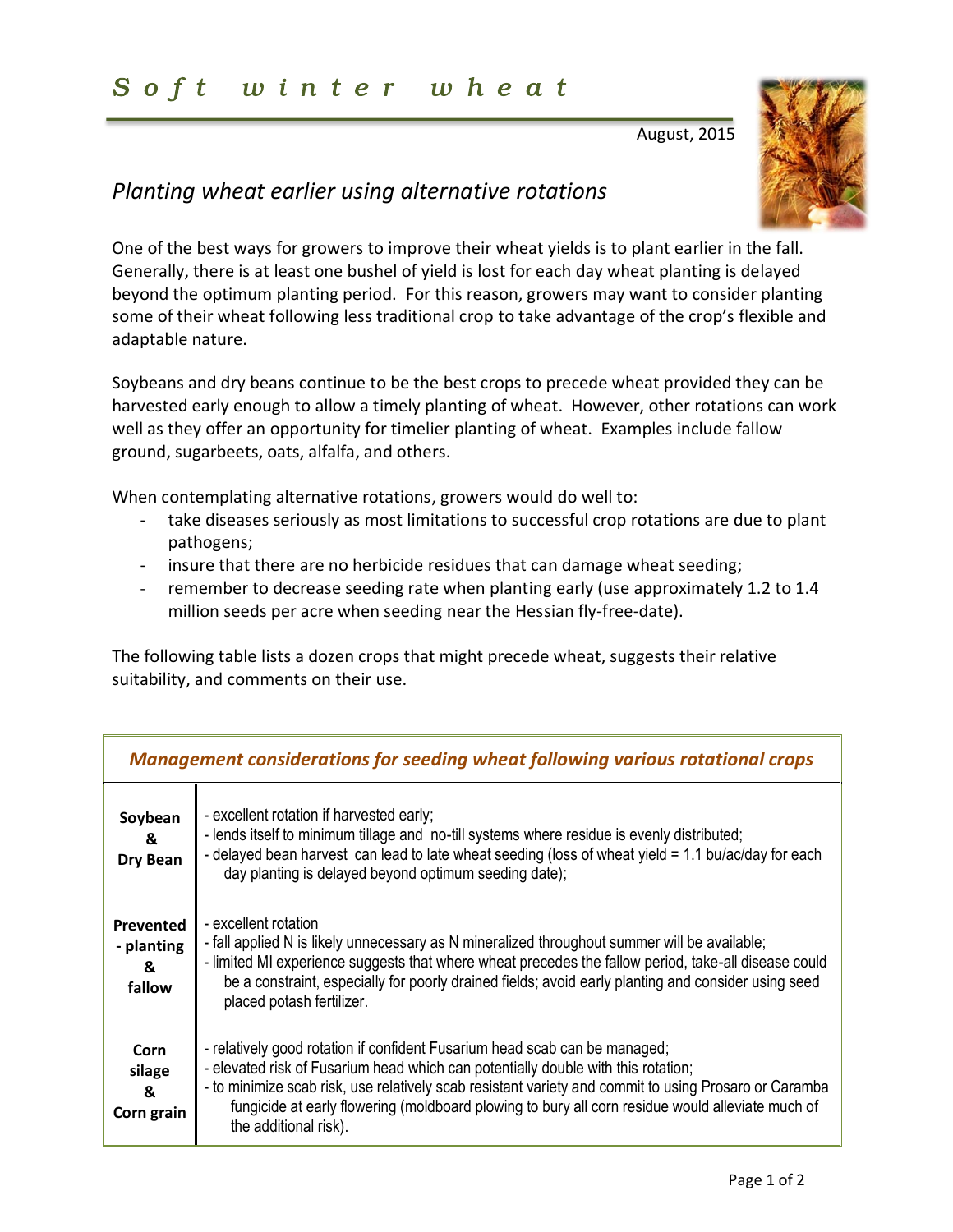## *S o f t w i n t e r w h e a t*

August, 2015



## *Planting wheat earlier using alternative rotations*

One of the best ways for growers to improve their wheat yields is to plant earlier in the fall. Generally, there is at least one bushel of yield is lost for each day wheat planting is delayed beyond the optimum planting period. For this reason, growers may want to consider planting some of their wheat following less traditional crop to take advantage of the crop's flexible and adaptable nature.

Soybeans and dry beans continue to be the best crops to precede wheat provided they can be harvested early enough to allow a timely planting of wheat. However, other rotations can work well as they offer an opportunity for timelier planting of wheat. Examples include fallow ground, sugarbeets, oats, alfalfa, and others.

When contemplating alternative rotations, growers would do well to:

- take diseases seriously as most limitations to successful crop rotations are due to plant pathogens;
- insure that there are no herbicide residues that can damage wheat seeding;
- remember to decrease seeding rate when planting early (use approximately 1.2 to 1.4 million seeds per acre when seeding near the Hessian fly-free-date).

The following table lists a dozen crops that might precede wheat, suggests their relative suitability, and comments on their use.

| <b>Management considerations for seeding wheat following various rotational crops</b> |                                                                                                                                                                                                                                                                                                                                                                                                       |
|---------------------------------------------------------------------------------------|-------------------------------------------------------------------------------------------------------------------------------------------------------------------------------------------------------------------------------------------------------------------------------------------------------------------------------------------------------------------------------------------------------|
| Soybean<br>&<br>Dry Bean                                                              | - excellent rotation if harvested early;<br>- lends itself to minimum tillage and no-till systems where residue is evenly distributed;<br>- delayed bean harvest can lead to late wheat seeding (loss of wheat yield = 1.1 bu/ac/day for each<br>day planting is delayed beyond optimum seeding date);                                                                                                |
| Prevented<br>- planting<br>&<br>fallow                                                | - excellent rotation<br>- fall applied N is likely unnecessary as N mineralized throughout summer will be available;<br>- limited MI experience suggests that where wheat precedes the fallow period, take-all disease could<br>be a constraint, especially for poorly drained fields; avoid early planting and consider using seed<br>placed potash fertilizer.                                      |
| Corn<br>silage<br>&<br>Corn grain                                                     | - relatively good rotation if confident Fusarium head scab can be managed;<br>- elevated risk of Fusarium head which can potentially double with this rotation;<br>- to minimize scab risk, use relatively scab resistant variety and commit to using Prosaro or Caramba<br>fungicide at early flowering (moldboard plowing to bury all corn residue would alleviate much of<br>the additional risk). |